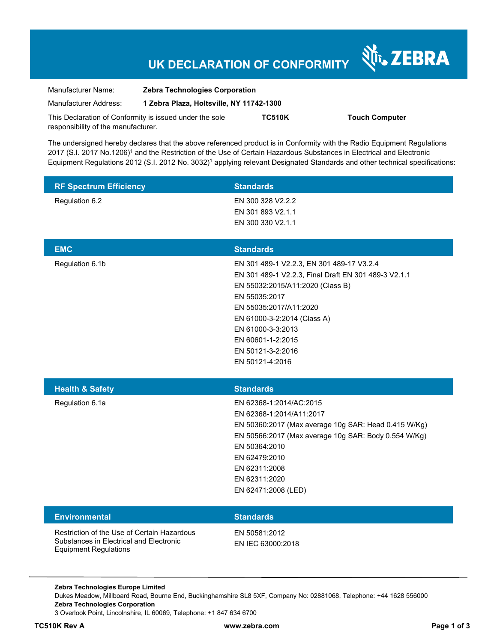# **UK DECLARATION OF CONFORMITY**

Nr. ZEBRA

| Manufacturer Name:                                      | <b>Zebra Technologies Corporation</b>    |               |                       |
|---------------------------------------------------------|------------------------------------------|---------------|-----------------------|
| Manufacturer Address:                                   | 1 Zebra Plaza, Holtsville, NY 11742-1300 |               |                       |
| This Declaration of Conformity is issued under the sole |                                          | <b>TC510K</b> | <b>Touch Computer</b> |
| responsibility of the manufacturer.                     |                                          |               |                       |

The undersigned hereby declares that the above referenced product is in Conformity with the Radio Equipment Regulations 2017 (S.I. 2017 No.1206)<sup>1</sup> and the Restriction of the Use of Certain Hazardous Substances in Electrical and Electronic Equipment Regulations 2012 (S.I. 2012 No. 3032)<sup>1</sup> applying relevant Designated Standards and other technical specifications:

| <b>RF Spectrum Efficiency</b> | <b>Standards</b>                                                                                                                                                                                                                                                                                  |
|-------------------------------|---------------------------------------------------------------------------------------------------------------------------------------------------------------------------------------------------------------------------------------------------------------------------------------------------|
| Regulation 6.2                | EN 300 328 V2.2.2<br>EN 301 893 V2.1.1<br>EN 300 330 V2.1.1                                                                                                                                                                                                                                       |
| <b>EMC</b>                    | <b>Standards</b>                                                                                                                                                                                                                                                                                  |
| Regulation 6.1b               | EN 301 489-1 V2.2.3, EN 301 489-17 V3.2.4<br>EN 301 489-1 V2.2.3, Final Draft EN 301 489-3 V2.1.1<br>EN 55032:2015/A11:2020 (Class B)<br>EN 55035:2017<br>EN 55035:2017/A11:2020<br>EN 61000-3-2:2014 (Class A)<br>EN 61000-3-3:2013<br>EN 60601-1-2:2015<br>EN 50121-3-2:2016<br>EN 50121-4:2016 |
| <b>Health &amp; Safety</b>    | <b>Standards</b>                                                                                                                                                                                                                                                                                  |
| Regulation 6.1a               | EN 62368-1:2014/AC:2015<br>EN 62368-1:2014/A11:2017<br>EN 50360:2017 (Max average 10g SAR: Head 0.415 W/Kg)<br>EN 50566:2017 (Max average 10g SAR: Body 0.554 W/Kg)<br>EN 50364:2010<br>EN 62479:2010<br>EN 62311:2008<br>EN 62311:2020<br>EN 62471:2008 (LED)                                    |
| <b>Environmental</b>          | <b>Standards</b>                                                                                                                                                                                                                                                                                  |
|                               |                                                                                                                                                                                                                                                                                                   |

**Zebra Technologies Europe Limited**  Dukes Meadow, Millboard Road, Bourne End, Buckinghamshire SL8 5XF, Company No: 02881068, Telephone: +44 1628 556000 **Zebra Technologies Corporation**  3 Overlook Point, Lincolnshire, IL 60069, Telephone: +1 847 634 6700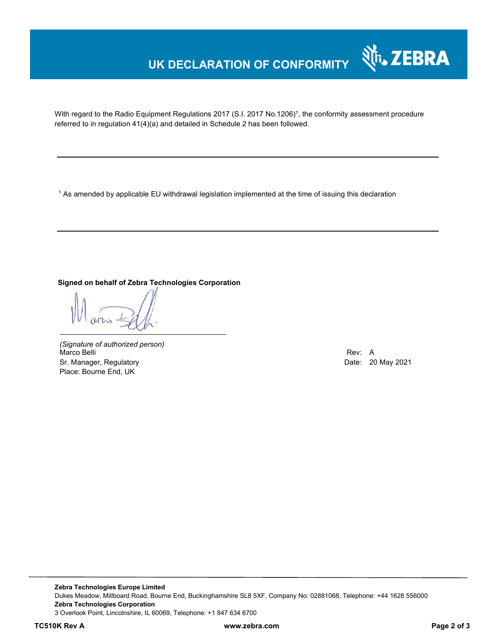## **UK DECLARATION OF CONFORMITY**

With regard to the Radio Equipment Regulations 2017 (S.I. 2017 No.1206)<sup>1</sup>, the conformity assessment procedure referred to in regulation 41(4)(a) and detailed in Schedule 2 has been followed.

 $^{\rm 1}$  As amended by applicable EU withdrawal legislation implemented at the time of issuing this declaration

**Signed on behalf of Zebra Technologies Corporation** 

*(Signature of authorized person)* Marco Belli Rev: A Sr. Manager, Regulatory **Date: 20 May 2021** Place: Bourne End, UK

र्शे<sub>ि</sub>, ZEBRA